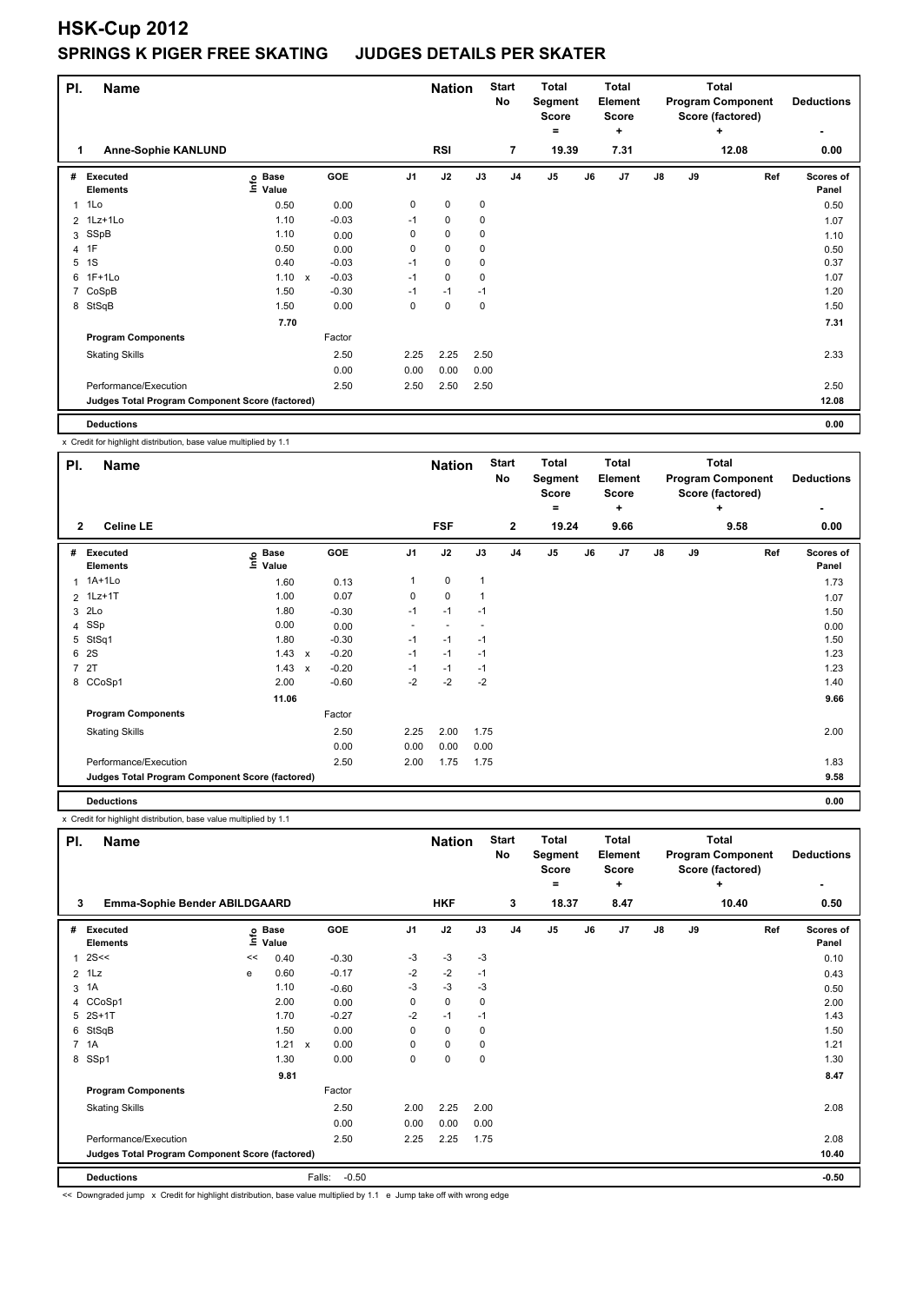## **HSK-Cup 2012 SPRINGS K PIGER FREE SKATING JUDGES DETAILS PER SKATER**

| PI. | <b>Name</b>                                     |                   |              |         | <b>Nation</b>  |             | <b>Start</b><br>No | <b>Total</b><br>Segment<br><b>Score</b> |                | Total<br>Element<br><b>Score</b> |           |               | <b>Total</b><br><b>Program Component</b><br>Score (factored) | <b>Deductions</b> |                    |
|-----|-------------------------------------------------|-------------------|--------------|---------|----------------|-------------|--------------------|-----------------------------------------|----------------|----------------------------------|-----------|---------------|--------------------------------------------------------------|-------------------|--------------------|
| 1   | <b>Anne-Sophie KANLUND</b>                      |                   |              |         |                | <b>RSI</b>  |                    | $\overline{7}$                          | ۰              | 19.39                            | ÷<br>7.31 |               |                                                              | ÷<br>12.08        | 0.00               |
| #   | Executed<br><b>Elements</b>                     | e Base<br>⊆ Value |              | GOE     | J <sub>1</sub> | J2          | J3                 | J <sub>4</sub>                          | J <sub>5</sub> | J6                               | J7        | $\mathsf{J}8$ | J9                                                           | Ref               | Scores of<br>Panel |
| 1   | 1Lo                                             | 0.50              |              | 0.00    | 0              | $\mathbf 0$ | $\pmb{0}$          |                                         |                |                                  |           |               |                                                              |                   | 0.50               |
|     | 2 1Lz+1Lo                                       | 1.10              |              | $-0.03$ | $-1$           | $\mathbf 0$ | 0                  |                                         |                |                                  |           |               |                                                              |                   | 1.07               |
|     | 3 SSpB                                          | 1.10              |              | 0.00    | 0              | $\mathbf 0$ | $\mathbf 0$        |                                         |                |                                  |           |               |                                                              |                   | 1.10               |
|     | 4 1F                                            | 0.50              |              | 0.00    | 0              | $\mathbf 0$ | 0                  |                                         |                |                                  |           |               |                                                              |                   | 0.50               |
| 5   | 1S                                              | 0.40              |              | $-0.03$ | $-1$           | $\mathbf 0$ | 0                  |                                         |                |                                  |           |               |                                                              |                   | 0.37               |
|     | 6 1F+1Lo                                        | 1.10              | $\mathsf{x}$ | $-0.03$ | $-1$           | $\mathbf 0$ | 0                  |                                         |                |                                  |           |               |                                                              |                   | 1.07               |
|     | 7 CoSpB                                         | 1.50              |              | $-0.30$ | $-1$           | $-1$        | $-1$               |                                         |                |                                  |           |               |                                                              |                   | 1.20               |
|     | 8 StSqB                                         | 1.50              |              | 0.00    | 0              | 0           | 0                  |                                         |                |                                  |           |               |                                                              |                   | 1.50               |
|     |                                                 | 7.70              |              |         |                |             |                    |                                         |                |                                  |           |               |                                                              |                   | 7.31               |
|     | <b>Program Components</b>                       |                   |              | Factor  |                |             |                    |                                         |                |                                  |           |               |                                                              |                   |                    |
|     | <b>Skating Skills</b>                           |                   |              | 2.50    | 2.25           | 2.25        | 2.50               |                                         |                |                                  |           |               |                                                              |                   | 2.33               |
|     |                                                 |                   |              | 0.00    | 0.00           | 0.00        | 0.00               |                                         |                |                                  |           |               |                                                              |                   |                    |
|     | Performance/Execution                           |                   |              | 2.50    | 2.50           | 2.50        | 2.50               |                                         |                |                                  |           |               |                                                              |                   | 2.50               |
|     | Judges Total Program Component Score (factored) |                   |              |         |                |             |                    |                                         |                |                                  |           |               |                                                              |                   | 12.08              |
|     | <b>Deductions</b>                               |                   |              |         |                |             |                    |                                         |                |                                  |           |               |                                                              |                   | 0.00               |

x Credit for highlight distribution, base value multiplied by 1.1

| PI.          | <b>Name</b>                                     |                            |                           |         |                          | <b>Nation</b> |        | <b>Start</b><br>No | <b>Total</b><br>Segment<br><b>Score</b><br>$\equiv$ |    | Total<br>Element<br><b>Score</b><br>٠ |            |    | <b>Total</b><br><b>Program Component</b><br>Score (factored)<br>÷ | <b>Deductions</b><br>٠ |
|--------------|-------------------------------------------------|----------------------------|---------------------------|---------|--------------------------|---------------|--------|--------------------|-----------------------------------------------------|----|---------------------------------------|------------|----|-------------------------------------------------------------------|------------------------|
| $\mathbf{2}$ | <b>Celine LE</b>                                |                            |                           |         |                          | <b>FSF</b>    |        | $\mathbf{2}$       | 19.24                                               |    | 9.66                                  |            |    | 9.58                                                              | 0.00                   |
| #            | Executed<br><b>Elements</b>                     | e Base<br>E Value<br>Value |                           | GOE     | J <sub>1</sub>           | J2            | J3     | J <sub>4</sub>     | $\mathsf{J}5$                                       | J6 | J7                                    | ${\sf J8}$ | J9 | Ref                                                               | Scores of<br>Panel     |
|              | 1 1A+1Lo                                        | 1.60                       |                           | 0.13    |                          | $\pmb{0}$     | 1      |                    |                                                     |    |                                       |            |    |                                                                   | 1.73                   |
|              | 2 1Lz+1T                                        | 1.00                       |                           | 0.07    | 0                        | 0             | 1      |                    |                                                     |    |                                       |            |    |                                                                   | 1.07                   |
|              | 3 2Lo                                           | 1.80                       |                           | $-0.30$ | $-1$                     | $-1$          | $-1$   |                    |                                                     |    |                                       |            |    |                                                                   | 1.50                   |
|              | 4 SSp                                           | 0.00                       |                           | 0.00    | $\overline{\phantom{a}}$ | $\sim$        | $\sim$ |                    |                                                     |    |                                       |            |    |                                                                   | 0.00                   |
| 5            | StSq1                                           | 1.80                       |                           | $-0.30$ | $-1$                     | $-1$          | $-1$   |                    |                                                     |    |                                       |            |    |                                                                   | 1.50                   |
|              | 6 2S                                            | 1.43                       | $\boldsymbol{\mathsf{x}}$ | $-0.20$ | $-1$                     | $-1$          | $-1$   |                    |                                                     |    |                                       |            |    |                                                                   | 1.23                   |
|              | 7 2T                                            | 1.43                       | $\boldsymbol{\mathsf{x}}$ | $-0.20$ | $-1$                     | $-1$          | $-1$   |                    |                                                     |    |                                       |            |    |                                                                   | 1.23                   |
|              | 8 CCoSp1                                        | 2.00                       |                           | $-0.60$ | $-2$                     | $-2$          | $-2$   |                    |                                                     |    |                                       |            |    |                                                                   | 1.40                   |
|              |                                                 | 11.06                      |                           |         |                          |               |        |                    |                                                     |    |                                       |            |    |                                                                   | 9.66                   |
|              | <b>Program Components</b>                       |                            |                           | Factor  |                          |               |        |                    |                                                     |    |                                       |            |    |                                                                   |                        |
|              | <b>Skating Skills</b>                           |                            |                           | 2.50    | 2.25                     | 2.00          | 1.75   |                    |                                                     |    |                                       |            |    |                                                                   | 2.00                   |
|              |                                                 |                            |                           | 0.00    | 0.00                     | 0.00          | 0.00   |                    |                                                     |    |                                       |            |    |                                                                   |                        |
|              | Performance/Execution                           |                            |                           | 2.50    | 2.00                     | 1.75          | 1.75   |                    |                                                     |    |                                       |            |    |                                                                   | 1.83                   |
|              | Judges Total Program Component Score (factored) |                            |                           |         |                          |               |        |                    |                                                     |    |                                       |            |    |                                                                   | 9.58                   |
|              | <b>Deductions</b>                               |                            |                           |         |                          |               |        |                    |                                                     |    |                                       |            |    |                                                                   | 0.00                   |

x Credit for highlight distribution, base value multiplied by 1.1

| PI.            | <b>Name</b>                                     |      |                      |                           |         |                | <b>Nation</b> |      | <b>Start</b><br><b>No</b> | <b>Total</b><br>Segment<br><b>Score</b><br>= |       | <b>Total</b><br><b>Element</b><br><b>Score</b><br>÷ |               |    | <b>Total</b><br><b>Program Component</b><br>Score (factored)<br>٠ | <b>Deductions</b>         |
|----------------|-------------------------------------------------|------|----------------------|---------------------------|---------|----------------|---------------|------|---------------------------|----------------------------------------------|-------|-----------------------------------------------------|---------------|----|-------------------------------------------------------------------|---------------------------|
| 3              | Emma-Sophie Bender ABILDGAARD                   |      | <b>HKF</b>           |                           | 3       | 18.37          |               | 8.47 |                           |                                              | 10.40 | 0.50                                                |               |    |                                                                   |                           |
| #              | Executed<br><b>Elements</b>                     | ١nfo | <b>Base</b><br>Value |                           | GOE     | J <sub>1</sub> | J2            | J3   | J <sub>4</sub>            | J <sub>5</sub>                               | J6    | J7                                                  | $\mathsf{J}8$ | J9 | Ref                                                               | <b>Scores of</b><br>Panel |
| $\overline{1}$ | 2S <                                            | <<   | 0.40                 |                           | $-0.30$ | -3             | $-3$          | $-3$ |                           |                                              |       |                                                     |               |    |                                                                   | 0.10                      |
| $\overline{2}$ | 1Lz                                             | е    | 0.60                 |                           | $-0.17$ | $-2$           | $-2$          | $-1$ |                           |                                              |       |                                                     |               |    |                                                                   | 0.43                      |
| 3              | 1A                                              |      | 1.10                 |                           | $-0.60$ | $-3$           | $-3$          | -3   |                           |                                              |       |                                                     |               |    |                                                                   | 0.50                      |
| 4              | CCoSp1                                          |      | 2.00                 |                           | 0.00    | 0              | $\mathbf 0$   | 0    |                           |                                              |       |                                                     |               |    |                                                                   | 2.00                      |
|                | 5 2S+1T                                         |      | 1.70                 |                           | $-0.27$ | $-2$           | $-1$          | $-1$ |                           |                                              |       |                                                     |               |    |                                                                   | 1.43                      |
| 6              | StSqB                                           |      | 1.50                 |                           | 0.00    | 0              | $\mathbf 0$   | 0    |                           |                                              |       |                                                     |               |    |                                                                   | 1.50                      |
|                | 7 1A                                            |      | 1.21                 | $\boldsymbol{\mathsf{x}}$ | 0.00    | 0              | $\mathbf 0$   | 0    |                           |                                              |       |                                                     |               |    |                                                                   | 1.21                      |
| 8              | SSp1                                            |      | 1.30                 |                           | 0.00    | 0              | $\pmb{0}$     | 0    |                           |                                              |       |                                                     |               |    |                                                                   | 1.30                      |
|                |                                                 |      | 9.81                 |                           |         |                |               |      |                           |                                              |       |                                                     |               |    |                                                                   | 8.47                      |
|                | <b>Program Components</b>                       |      |                      |                           | Factor  |                |               |      |                           |                                              |       |                                                     |               |    |                                                                   |                           |
|                | <b>Skating Skills</b>                           |      |                      |                           | 2.50    | 2.00           | 2.25          | 2.00 |                           |                                              |       |                                                     |               |    |                                                                   | 2.08                      |
|                |                                                 |      |                      |                           | 0.00    | 0.00           | 0.00          | 0.00 |                           |                                              |       |                                                     |               |    |                                                                   |                           |
|                | Performance/Execution                           |      |                      |                           | 2.50    | 2.25           | 2.25          | 1.75 |                           |                                              |       |                                                     |               |    |                                                                   | 2.08                      |
|                | Judges Total Program Component Score (factored) |      |                      |                           |         |                |               |      |                           |                                              |       |                                                     |               |    |                                                                   | 10.40                     |
|                | <b>Deductions</b>                               |      |                      | Falls:                    | $-0.50$ |                |               |      |                           |                                              |       |                                                     |               |    |                                                                   | $-0.50$                   |

<< Downgraded jump x Credit for highlight distribution, base value multiplied by 1.1 e Jump take off with wrong edge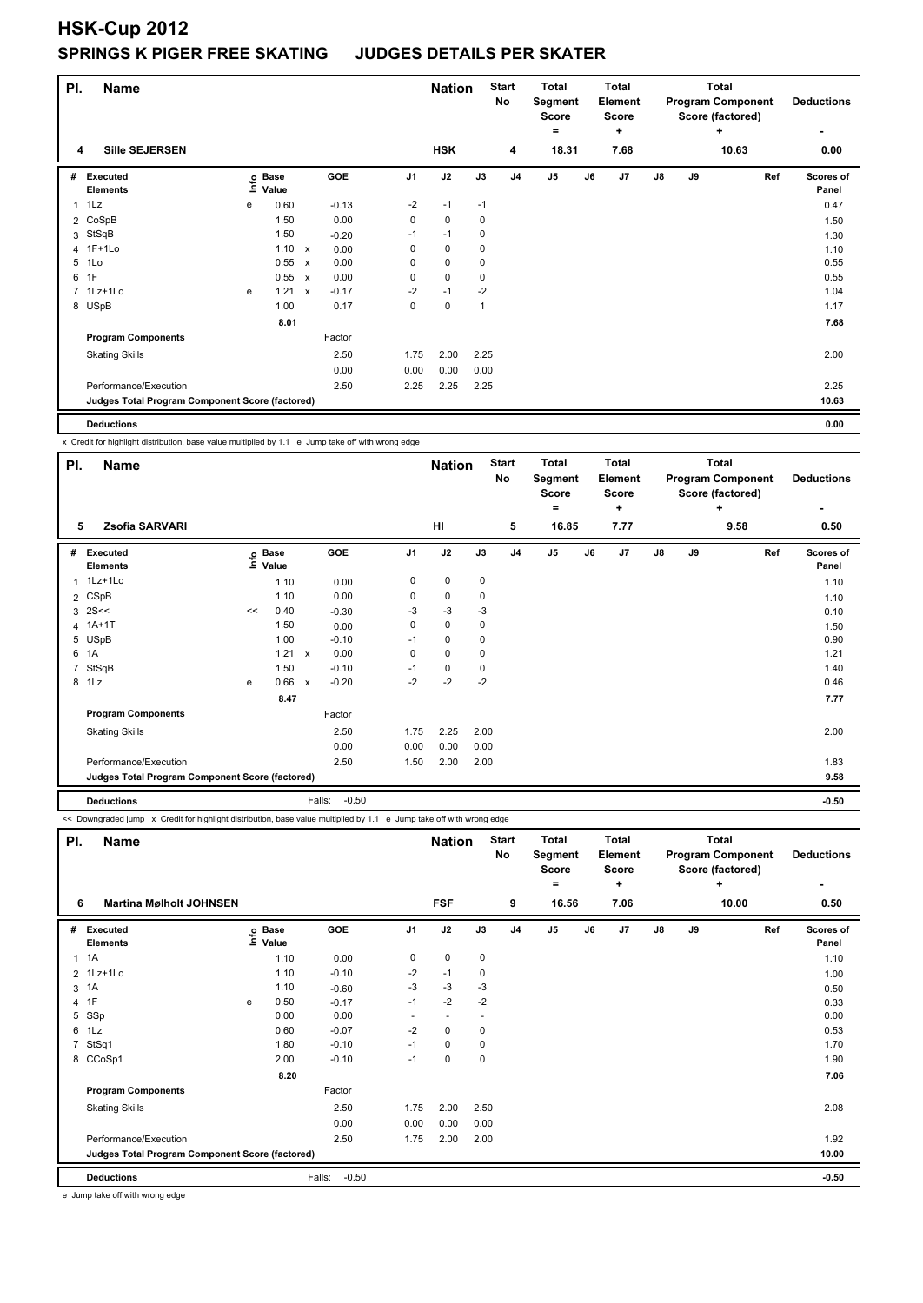## **HSK-Cup 2012 SPRINGS K PIGER FREE SKATING JUDGES DETAILS PER SKATER**

| PI. | <b>Name</b>                                     |   |                            |              |         |                | <b>Nation</b> |      | <b>Start</b><br>No | <b>Total</b><br>Segment<br><b>Score</b><br>٠ |    | <b>Total</b><br>Element<br><b>Score</b><br>÷ |               |    | <b>Total</b><br><b>Program Component</b><br>Score (factored)<br>÷ | <b>Deductions</b>         |
|-----|-------------------------------------------------|---|----------------------------|--------------|---------|----------------|---------------|------|--------------------|----------------------------------------------|----|----------------------------------------------|---------------|----|-------------------------------------------------------------------|---------------------------|
| 4   | <b>Sille SEJERSEN</b>                           |   |                            |              |         |                | <b>HSK</b>    |      | 4                  | 18.31                                        |    | 7.68                                         |               |    | 10.63                                                             | 0.00                      |
| #   | Executed<br><b>Elements</b>                     |   | e Base<br>⊑ Value<br>Value |              | GOE     | J <sub>1</sub> | J2            | J3   | J <sub>4</sub>     | J5                                           | J6 | J7                                           | $\mathsf{J}8$ | J9 | Ref                                                               | <b>Scores of</b><br>Panel |
| 1   | 1Lz                                             | e | 0.60                       |              | $-0.13$ | $-2$           | $-1$          | $-1$ |                    |                                              |    |                                              |               |    |                                                                   | 0.47                      |
|     | 2 CoSpB                                         |   | 1.50                       |              | 0.00    | 0              | $\mathbf 0$   | 0    |                    |                                              |    |                                              |               |    |                                                                   | 1.50                      |
|     | 3 StSqB                                         |   | 1.50                       |              | $-0.20$ | $-1$           | $-1$          | 0    |                    |                                              |    |                                              |               |    |                                                                   | 1.30                      |
|     | 4 1F+1Lo                                        |   | $1.10 \times$              |              | 0.00    | 0              | 0             | 0    |                    |                                              |    |                                              |               |    |                                                                   | 1.10                      |
| 5   | 1Lo                                             |   | 0.55                       | $\mathsf{x}$ | 0.00    | 0              | $\mathbf 0$   | 0    |                    |                                              |    |                                              |               |    |                                                                   | 0.55                      |
| 6   | 1F                                              |   | 0.55                       | $\mathsf{x}$ | 0.00    | 0              | $\mathbf 0$   | 0    |                    |                                              |    |                                              |               |    |                                                                   | 0.55                      |
|     | 7 1Lz+1Lo                                       | e | 1.21                       | $\mathsf{x}$ | $-0.17$ | $-2$           | $-1$          | $-2$ |                    |                                              |    |                                              |               |    |                                                                   | 1.04                      |
|     | 8 USpB                                          |   | 1.00                       |              | 0.17    | $\Omega$       | $\mathbf 0$   | 1    |                    |                                              |    |                                              |               |    |                                                                   | 1.17                      |
|     |                                                 |   | 8.01                       |              |         |                |               |      |                    |                                              |    |                                              |               |    |                                                                   | 7.68                      |
|     | <b>Program Components</b>                       |   |                            |              | Factor  |                |               |      |                    |                                              |    |                                              |               |    |                                                                   |                           |
|     | <b>Skating Skills</b>                           |   |                            |              | 2.50    | 1.75           | 2.00          | 2.25 |                    |                                              |    |                                              |               |    |                                                                   | 2.00                      |
|     |                                                 |   |                            |              | 0.00    | 0.00           | 0.00          | 0.00 |                    |                                              |    |                                              |               |    |                                                                   |                           |
|     | Performance/Execution                           |   |                            |              | 2.50    | 2.25           | 2.25          | 2.25 |                    |                                              |    |                                              |               |    |                                                                   | 2.25                      |
|     | Judges Total Program Component Score (factored) |   |                            |              |         |                |               |      |                    |                                              |    |                                              |               |    |                                                                   | 10.63                     |
|     | <b>Deductions</b>                               |   |                            |              |         |                |               |      |                    |                                              |    |                                              |               |    |                                                                   | 0.00                      |

x Credit for highlight distribution, base value multiplied by 1.1 e Jump take off with wrong edge

| PI. | <b>Name</b>                                     |    |                            |              |                   |                | <b>Nation</b> |      | <b>Start</b><br>No | <b>Total</b><br>Segment<br><b>Score</b><br>$=$ |    | Total<br>Element<br><b>Score</b><br>٠ |               |    | <b>Total</b><br><b>Program Component</b><br>Score (factored)<br>÷ | <b>Deductions</b>  |
|-----|-------------------------------------------------|----|----------------------------|--------------|-------------------|----------------|---------------|------|--------------------|------------------------------------------------|----|---------------------------------------|---------------|----|-------------------------------------------------------------------|--------------------|
| 5   | Zsofia SARVARI                                  |    |                            |              |                   |                | HI            |      | 5                  | 16.85                                          |    | 7.77                                  |               |    | 9.58                                                              | 0.50               |
|     | # Executed<br><b>Elements</b>                   |    | e Base<br>E Value<br>Value |              | GOE               | J <sub>1</sub> | J2            | J3   | J <sub>4</sub>     | J5                                             | J6 | J7                                    | $\mathsf{J}8$ | J9 | Ref                                                               | Scores of<br>Panel |
|     | 1 1Lz+1Lo                                       |    | 1.10                       |              | 0.00              | 0              | $\mathbf 0$   | 0    |                    |                                                |    |                                       |               |    |                                                                   | 1.10               |
|     | 2 CSpB                                          |    | 1.10                       |              | 0.00              | 0              | 0             | 0    |                    |                                                |    |                                       |               |    |                                                                   | 1.10               |
| 3   | 2S<                                             | << | 0.40                       |              | $-0.30$           | -3             | $-3$          | $-3$ |                    |                                                |    |                                       |               |    |                                                                   | 0.10               |
|     | 4 1A+1T                                         |    | 1.50                       |              | 0.00              | 0              | $\mathbf 0$   | 0    |                    |                                                |    |                                       |               |    |                                                                   | 1.50               |
|     | 5 USpB                                          |    | 1.00                       |              | $-0.10$           | $-1$           | $\mathbf 0$   | 0    |                    |                                                |    |                                       |               |    |                                                                   | 0.90               |
|     | 6 1A                                            |    | $1.21 \times$              |              | 0.00              | 0              | $\mathbf 0$   | 0    |                    |                                                |    |                                       |               |    |                                                                   | 1.21               |
|     | 7 StSqB                                         |    | 1.50                       |              | $-0.10$           | $-1$           | $\mathbf 0$   | 0    |                    |                                                |    |                                       |               |    |                                                                   | 1.40               |
|     | 8 1Lz                                           | e  | 0.66                       | $\mathsf{x}$ | $-0.20$           | $-2$           | $-2$          | $-2$ |                    |                                                |    |                                       |               |    |                                                                   | 0.46               |
|     |                                                 |    | 8.47                       |              |                   |                |               |      |                    |                                                |    |                                       |               |    |                                                                   | 7.77               |
|     | <b>Program Components</b>                       |    |                            |              | Factor            |                |               |      |                    |                                                |    |                                       |               |    |                                                                   |                    |
|     | <b>Skating Skills</b>                           |    |                            |              | 2.50              | 1.75           | 2.25          | 2.00 |                    |                                                |    |                                       |               |    |                                                                   | 2.00               |
|     |                                                 |    |                            |              | 0.00              | 0.00           | 0.00          | 0.00 |                    |                                                |    |                                       |               |    |                                                                   |                    |
|     | Performance/Execution                           |    |                            |              | 2.50              | 1.50           | 2.00          | 2.00 |                    |                                                |    |                                       |               |    |                                                                   | 1.83               |
|     | Judges Total Program Component Score (factored) |    |                            |              |                   |                |               |      |                    |                                                |    |                                       |               |    |                                                                   | 9.58               |
|     | <b>Deductions</b>                               |    |                            |              | Falls:<br>$-0.50$ |                |               |      |                    |                                                |    |                                       |               |    |                                                                   | $-0.50$            |

<< Downgraded jump x Credit for highlight distribution, base value multiplied by 1.1 e Jump take off with wrong edge

| PI.            | Name                                            |      |                      | <b>Nation</b>     |                | <b>Start</b><br>No       | <b>Total</b><br>Segment<br><b>Score</b><br>۰ |                | Total<br>Element<br><b>Score</b><br>٠ |    |                | <b>Total</b><br><b>Program Component</b><br>Score (factored)<br>٠ | <b>Deductions</b> |       |                    |
|----------------|-------------------------------------------------|------|----------------------|-------------------|----------------|--------------------------|----------------------------------------------|----------------|---------------------------------------|----|----------------|-------------------------------------------------------------------|-------------------|-------|--------------------|
| 6              | <b>Martina Mølholt JOHNSEN</b>                  |      |                      |                   |                | <b>FSF</b>               |                                              | 9              | 16.56                                 |    | 7.06           |                                                                   |                   | 10.00 | 0.50               |
| #              | Executed<br><b>Elements</b>                     | ١nfo | <b>Base</b><br>Value | GOE               | J <sub>1</sub> | J2                       | J3                                           | J <sub>4</sub> | J <sub>5</sub>                        | J6 | J <sub>7</sub> | $\mathsf{J}8$                                                     | J9                | Ref   | Scores of<br>Panel |
| 1              | 1A                                              |      | 1.10                 | 0.00              | 0              | $\mathbf 0$              | 0                                            |                |                                       |    |                |                                                                   |                   |       | 1.10               |
| $\overline{2}$ | 1Lz+1Lo                                         |      | 1.10                 | $-0.10$           | $-2$           | $-1$                     | 0                                            |                |                                       |    |                |                                                                   |                   |       | 1.00               |
| 3              | 1A                                              |      | 1.10                 | $-0.60$           | $-3$           | $-3$                     | $-3$                                         |                |                                       |    |                |                                                                   |                   |       | 0.50               |
| 4              | 1F                                              | e    | 0.50                 | $-0.17$           | $-1$           | $-2$                     | $-2$                                         |                |                                       |    |                |                                                                   |                   |       | 0.33               |
| 5              | SSp                                             |      | 0.00                 | 0.00              | ٠              | $\overline{\phantom{a}}$ | $\overline{\phantom{a}}$                     |                |                                       |    |                |                                                                   |                   |       | 0.00               |
| 6              | 1Lz                                             |      | 0.60                 | $-0.07$           | $-2$           | 0                        | 0                                            |                |                                       |    |                |                                                                   |                   |       | 0.53               |
| 7              | StSq1                                           |      | 1.80                 | $-0.10$           | $-1$           | $\mathbf 0$              | 0                                            |                |                                       |    |                |                                                                   |                   |       | 1.70               |
|                | 8 CCoSp1                                        |      | 2.00                 | $-0.10$           | $-1$           | 0                        | 0                                            |                |                                       |    |                |                                                                   |                   |       | 1.90               |
|                |                                                 |      | 8.20                 |                   |                |                          |                                              |                |                                       |    |                |                                                                   |                   |       | 7.06               |
|                | <b>Program Components</b>                       |      |                      | Factor            |                |                          |                                              |                |                                       |    |                |                                                                   |                   |       |                    |
|                | <b>Skating Skills</b>                           |      |                      | 2.50              | 1.75           | 2.00                     | 2.50                                         |                |                                       |    |                |                                                                   |                   |       | 2.08               |
|                |                                                 |      |                      | 0.00              | 0.00           | 0.00                     | 0.00                                         |                |                                       |    |                |                                                                   |                   |       |                    |
|                | Performance/Execution                           |      |                      | 2.50              | 1.75           | 2.00                     | 2.00                                         |                |                                       |    |                |                                                                   |                   |       | 1.92               |
|                | Judges Total Program Component Score (factored) |      |                      |                   |                |                          |                                              |                |                                       |    |                |                                                                   |                   |       | 10.00              |
|                | <b>Deductions</b>                               |      |                      | $-0.50$<br>Falls: |                |                          |                                              |                |                                       |    |                |                                                                   |                   |       | $-0.50$            |

e Jump take off with wrong edge